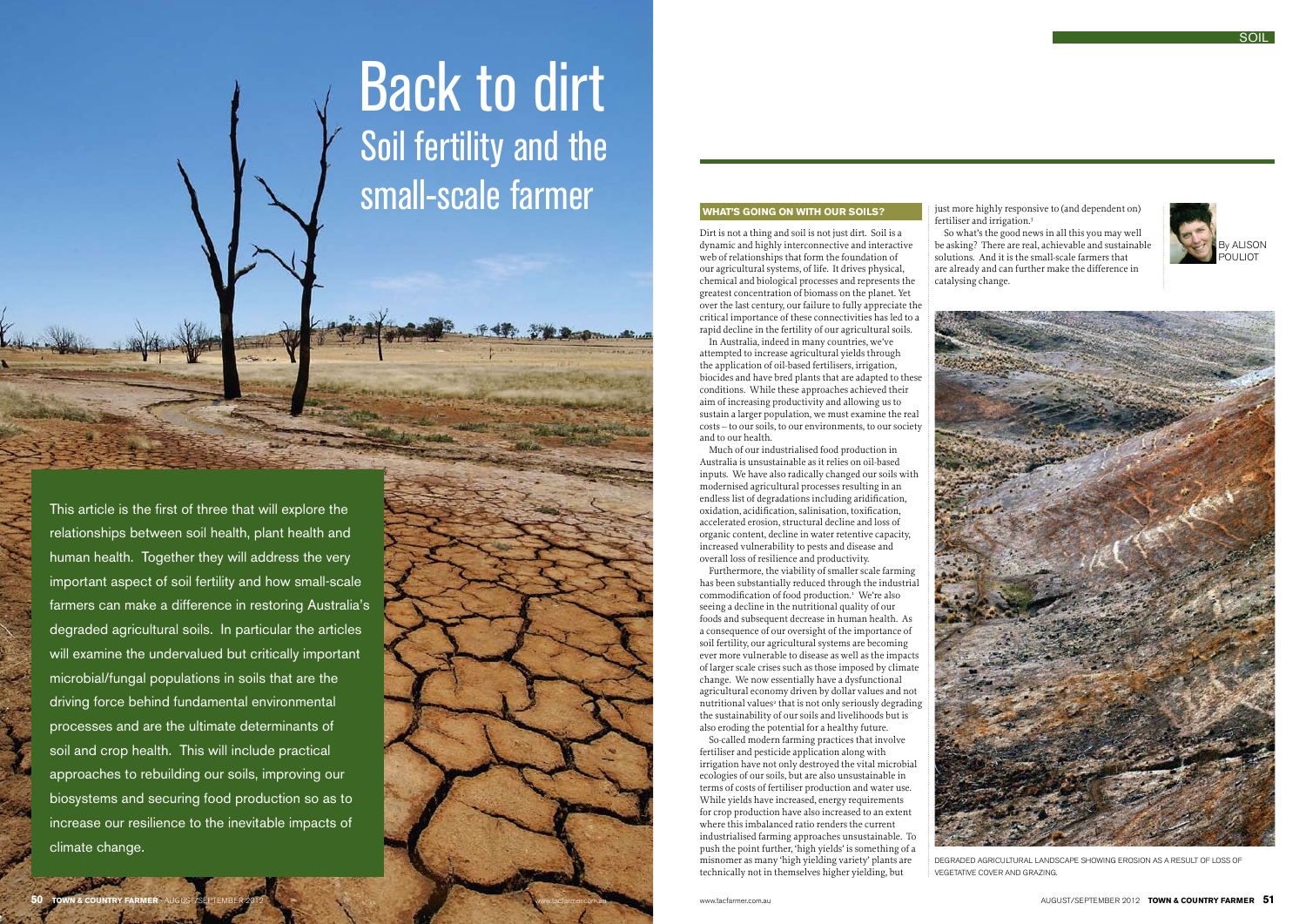## **What's going on with our soils?**

Dirt is not a thing and soil is not just dirt. Soil is a dynamic and highly interconnective and interactive web of relationships that form the foundation of our agricultural systems, of life. It drives physical, chemical and biological processes and represents the greatest concentration of biomass on the planet. Yet over the last century, our failure to fully appreciate the critical importance of these connectivities has led to a rapid decline in the fertility of our agricultural soils.

In Australia, indeed in many countries, we've attempted to increase agricultural yields through the application of oil-based fertilisers, irrigation, biocides and have bred plants that are adapted to these conditions. While these approaches achieved their aim of increasing productivity and allowing us to sustain a larger population, we must examine the real costs – to our soils, to our environments, to our society and to our health.

Much of our industrialised food production in Australia is unsustainable as it relies on oil-based inputs. We have also radically changed our soils with modernised agricultural processes resulting in an endless list of degradations including aridification, oxidation, acidification, salinisation, toxification, accelerated erosion, structural decline and loss of organic content, decline in water retentive capacity, increased vulnerability to pests and disease and overall loss of resilience and productivity.

Furthermore, the viability of smaller scale farming has been substantially reduced through the industrial commodification of food production.<sup>1</sup> We're also seeing a decline in the nutritional quality of our foods and subsequent decrease in human health. As a consequence of our oversight of the importance of soil fertility, our agricultural systems are becoming ever more vulnerable to disease as well as the impacts of larger scale crises such as those imposed by climate change. We now essentially have a dysfunctional agricultural economy driven by dollar values and not nutritional values<sup>2</sup> that is not only seriously degrading the sustainability of our soils and livelihoods but is also eroding the potential for a healthy future.

So-called modern farming practices that involve fertiliser and pesticide application along with irrigation have not only destroyed the vital microbial ecologies of our soils, but are also unsustainable in terms of costs of fertiliser production and water use. While yields have increased, energy requirements for crop production have also increased to an extent where this imbalanced ratio renders the current industrialised farming approaches unsustainable. To push the point further, 'high yields' is something of a misnomer as many 'high yielding variety' plants are technically not in themselves higher yielding, but

just more highly responsive to (and dependent on) fertiliser and irrigation.3

So what's the good news in all this you may well be asking? There are real, achievable and sustainable solutions. And it is the small-scale farmers that are already and can further make the difference in catalysing change.



# Back to dirt Soil fertility and the small-scale farmer

by alison pouliot



This article is the first of three that will explore the relationships between soil health, plant health and human health. Together they will address the very important aspect of soil fertility and how small-scale farmers can make a difference in restoring Australia's degraded agricultural soils. In particular the articles will examine the undervalued but critically important microbial/fungal populations in soils that are the driving force behind fundamental environmental processes and are the ultimate determinants of soil and crop health. This will include practical approaches to rebuilding our soils, improving our biosystems and securing food production so as to increase our resilience to the inevitable impacts of climate change.

Degraded agricultural landscape showing erosion as a result of loss of vegetative cover and grazing.